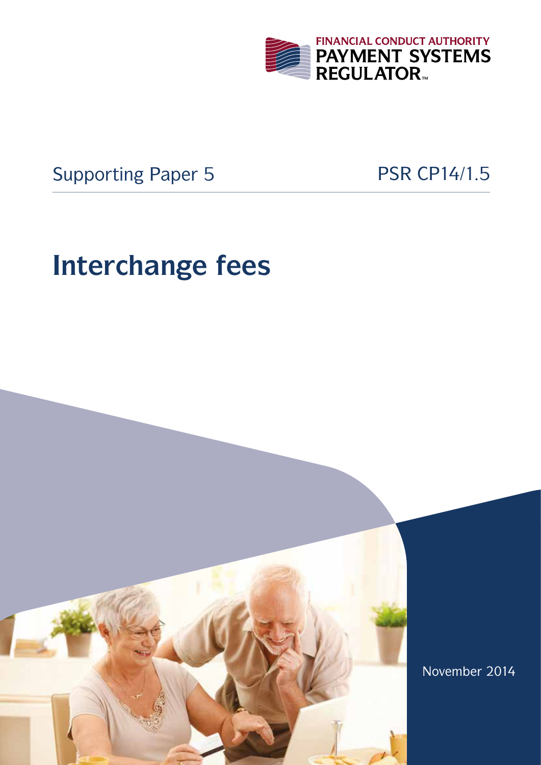

### Supporting Paper 5 PSR CP14/1.5

# **Interchange fees**



November 2014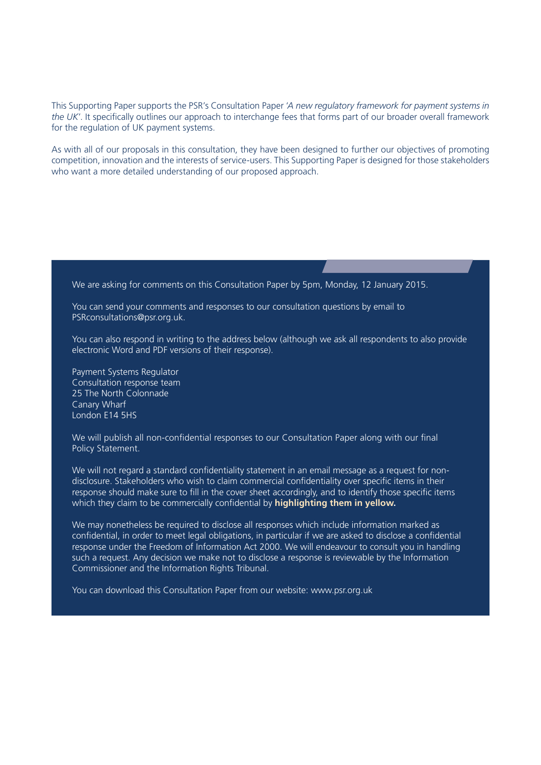This Supporting Paper supports the PSR's Consultation Paper '*A new regulatory framework for payment systems in the UK*'. It specifically outlines our approach to interchange fees that forms part of our broader overall framework for the regulation of UK payment systems.

As with all of our proposals in this consultation, they have been designed to further our objectives of promoting competition, innovation and the interests of service-users. This Supporting Paper is designed for those stakeholders who want a more detailed understanding of our proposed approach.

We are asking for comments on this Consultation Paper by 5pm, Monday, 12 January 2015.

You can send your comments and responses to our consultation questions by email to PSRconsultations@psr.org.uk.

You can also respond in writing to the address below (although we ask all respondents to also provide electronic Word and PDF versions of their response).

Payment Systems Regulator Consultation response team 25 The North Colonnade Canary Wharf London E14 5HS

We will publish all non-confidential responses to our Consultation Paper along with our final Policy Statement.

We will not regard a standard confidentiality statement in an email message as a request for nondisclosure. Stakeholders who wish to claim commercial confidentiality over specific items in their response should make sure to fill in the cover sheet accordingly, and to identify those specific items which they claim to be commercially confidential by **highlighting them in yellow.**

We may nonetheless be required to disclose all responses which include information marked as confidential, in order to meet legal obligations, in particular if we are asked to disclose a confidential response under the Freedom of Information Act 2000. We will endeavour to consult you in handling such a request. Any decision we make not to disclose a response is reviewable by the Information Commissioner and the Information Rights Tribunal.

You can download this Consultation Paper from our website: www.psr.org.uk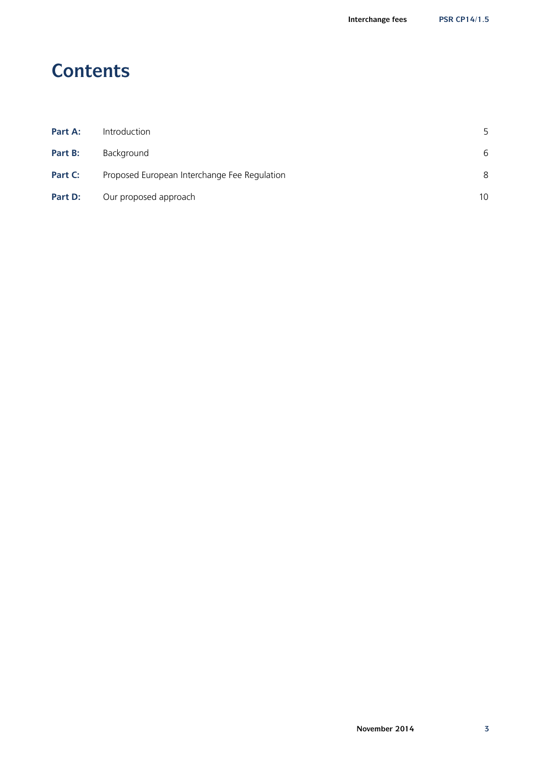#### **Contents**

| Part A: | Introduction                                 | 5. |
|---------|----------------------------------------------|----|
| Part B: | Background                                   | 6  |
| Part C: | Proposed European Interchange Fee Regulation | 8  |
| Part D: | Our proposed approach                        | 10 |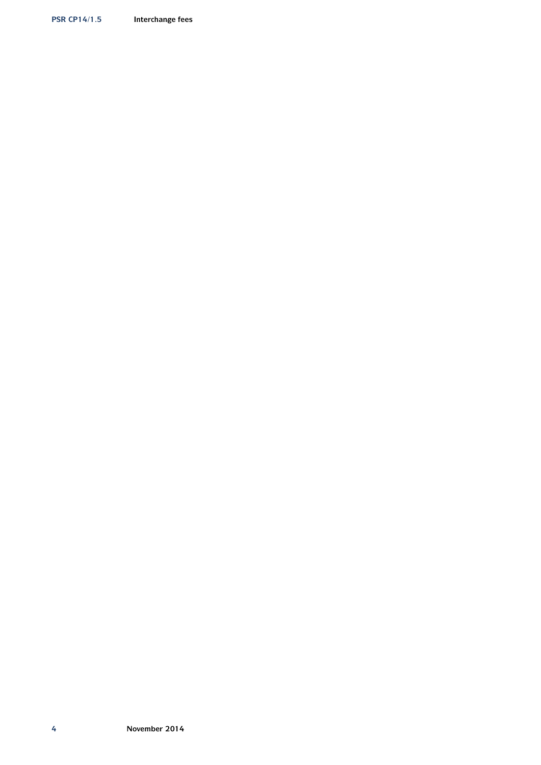#### **PSR CP14/1.5 Interchange fees**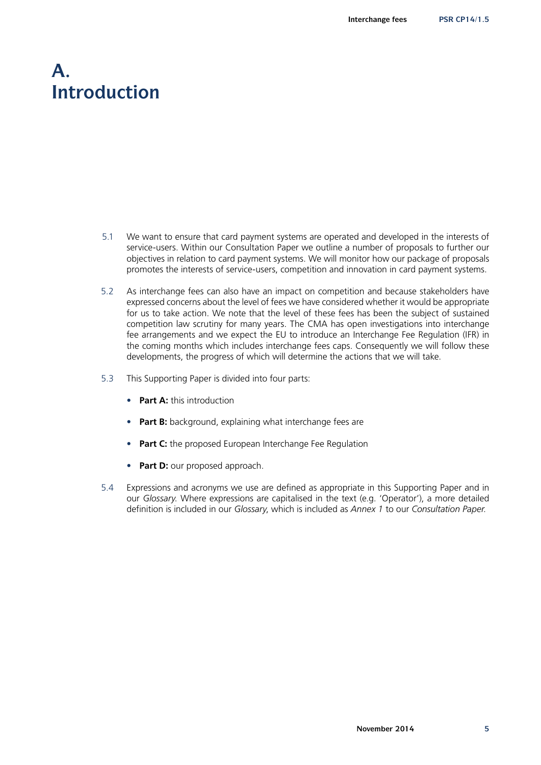#### **A. Introduction**

- 5.1 We want to ensure that card payment systems are operated and developed in the interests of service-users. Within our Consultation Paper we outline a number of proposals to further our objectives in relation to card payment systems. We will monitor how our package of proposals promotes the interests of service-users, competition and innovation in card payment systems.
- 5.2 As interchange fees can also have an impact on competition and because stakeholders have expressed concerns about the level of fees we have considered whether it would be appropriate for us to take action. We note that the level of these fees has been the subject of sustained competition law scrutiny for many years. The CMA has open investigations into interchange fee arrangements and we expect the EU to introduce an Interchange Fee Regulation (IFR) in the coming months which includes interchange fees caps. Consequently we will follow these developments, the progress of which will determine the actions that we will take.
- 5.3 This Supporting Paper is divided into four parts:
	- **Part A:** this introduction
	- **Part B:** background, explaining what interchange fees are
	- **Part C:** the proposed European Interchange Fee Regulation
	- **Part D:** our proposed approach.
- 5.4 Expressions and acronyms we use are defined as appropriate in this Supporting Paper and in our *Glossary*. Where expressions are capitalised in the text (e.g. 'Operator'), a more detailed definition is included in our *Glossary*, which is included as *Annex 1* to our *Consultation Paper*.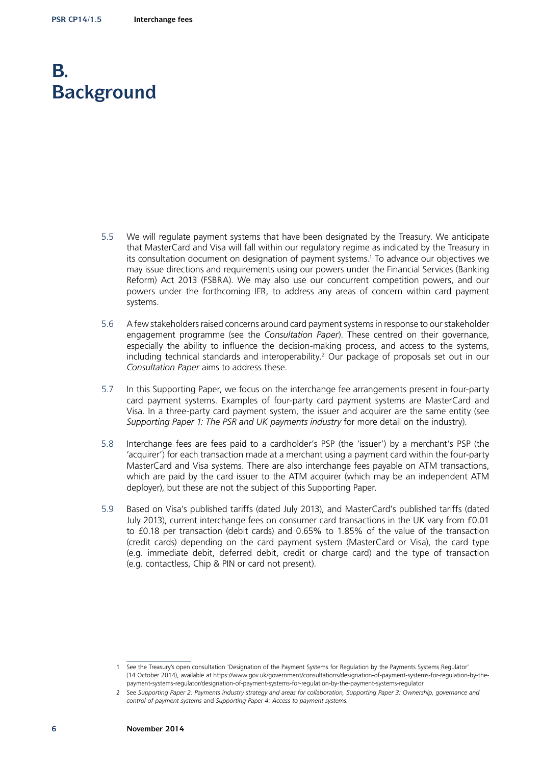### **B. Background**

- 5.5 We will regulate payment systems that have been designated by the Treasury. We anticipate that MasterCard and Visa will fall within our regulatory regime as indicated by the Treasury in its consultation document on designation of payment systems.1 To advance our objectives we may issue directions and requirements using our powers under the Financial Services (Banking Reform) Act 2013 (FSBRA). We may also use our concurrent competition powers, and our powers under the forthcoming IFR, to address any areas of concern within card payment systems.
- 5.6 A few stakeholders raised concerns around card payment systems in response to our stakeholder engagement programme (see the *Consultation Paper*). These centred on their governance, especially the ability to influence the decision-making process, and access to the systems, including technical standards and interoperability.2 Our package of proposals set out in our *Consultation Paper* aims to address these.
- 5.7 In this Supporting Paper, we focus on the interchange fee arrangements present in four-party card payment systems. Examples of four-party card payment systems are MasterCard and Visa. In a three-party card payment system, the issuer and acquirer are the same entity (see *Supporting Paper 1: The PSR and UK payments industry* for more detail on the industry).
- 5.8 Interchange fees are fees paid to a cardholder's PSP (the 'issuer') by a merchant's PSP (the 'acquirer') for each transaction made at a merchant using a payment card within the four-party MasterCard and Visa systems. There are also interchange fees payable on ATM transactions, which are paid by the card issuer to the ATM acquirer (which may be an independent ATM deployer), but these are not the subject of this Supporting Paper.
- 5.9 Based on Visa's published tariffs (dated July 2013), and MasterCard's published tariffs (dated July 2013), current interchange fees on consumer card transactions in the UK vary from £0.01 to £0.18 per transaction (debit cards) and 0.65% to 1.85% of the value of the transaction (credit cards) depending on the card payment system (MasterCard or Visa), the card type (e.g. immediate debit, deferred debit, credit or charge card) and the type of transaction (e.g. contactless, Chip & PIN or card not present).

<sup>1</sup> See the Treasury's open consultation 'Designation of the Payment Systems for Regulation by the Payments Systems Regulator' (14 October 2014), available at https://www.gov.uk/government/consultations/designation-of-payment-systems-for-regulation-by-thepayment-systems-regulator/designation-of-payment-systems-for-regulation-by-the-payment-systems-regulator

<sup>2</sup> See *Supporting Paper 2: Payments industry strategy and areas for collaboration, Supporting Paper 3: Ownership, governance and control of payment systems* and *Supporting Paper 4: Access to payment systems.*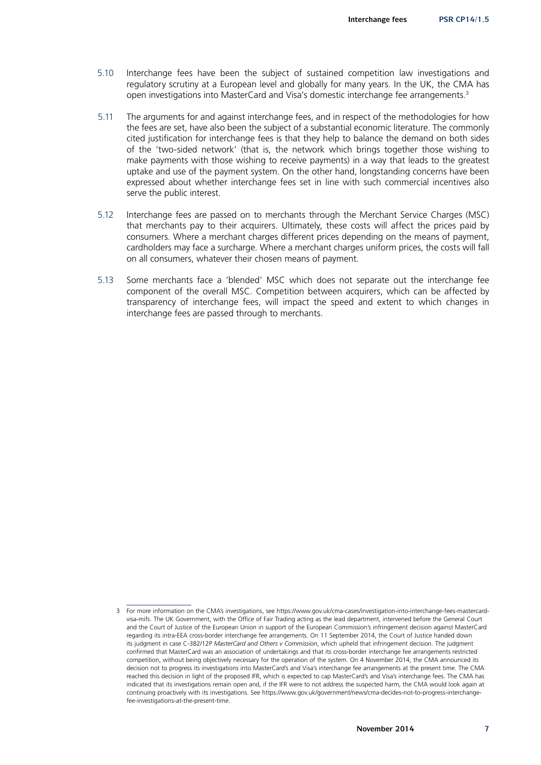- 5.10 Interchange fees have been the subject of sustained competition law investigations and regulatory scrutiny at a European level and globally for many years. In the UK, the CMA has open investigations into MasterCard and Visa's domestic interchange fee arrangements.3
- 5.11 The arguments for and against interchange fees, and in respect of the methodologies for how the fees are set, have also been the subject of a substantial economic literature. The commonly cited justification for interchange fees is that they help to balance the demand on both sides of the 'two-sided network' (that is, the network which brings together those wishing to make payments with those wishing to receive payments) in a way that leads to the greatest uptake and use of the payment system. On the other hand, longstanding concerns have been expressed about whether interchange fees set in line with such commercial incentives also serve the public interest.
- 5.12 Interchange fees are passed on to merchants through the Merchant Service Charges (MSC) that merchants pay to their acquirers. Ultimately, these costs will affect the prices paid by consumers. Where a merchant charges different prices depending on the means of payment, cardholders may face a surcharge. Where a merchant charges uniform prices, the costs will fall on all consumers, whatever their chosen means of payment.
- 5.13 Some merchants face a 'blended' MSC which does not separate out the interchange fee component of the overall MSC. Competition between acquirers, which can be affected by transparency of interchange fees, will impact the speed and extent to which changes in interchange fees are passed through to merchants.

<sup>3</sup> For more information on the CMA's investigations, see https://www.gov.uk/cma-cases/investigation-into-interchange-fees-mastercardvisa-mifs. The UK Government, with the Office of Fair Trading acting as the lead department, intervened before the General Court and the Court of Justice of the European Union in support of the European Commission's infringement decision against MasterCard regarding its intra-EEA cross-border interchange fee arrangements. On 11 September 2014, the Court of Justice handed down its judgment in case C-382/12P *MasterCard and Others v Commission*, which upheld that infringement decision. The judgment confirmed that MasterCard was an association of undertakings and that its cross-border interchange fee arrangements restricted competition, without being objectively necessary for the operation of the system. On 4 November 2014, the CMA announced its decision not to progress its investigations into MasterCard's and Visa's interchange fee arrangements at the present time. The CMA reached this decision in light of the proposed IFR, which is expected to cap MasterCard's and Visa's interchange fees. The CMA has indicated that its investigations remain open and, if the IFR were to not address the suspected harm, the CMA would look again at continuing proactively with its investigations. See https://www.gov.uk/government/news/cma-decides-not-to-progress-interchangefee-investigations-at-the-present-time.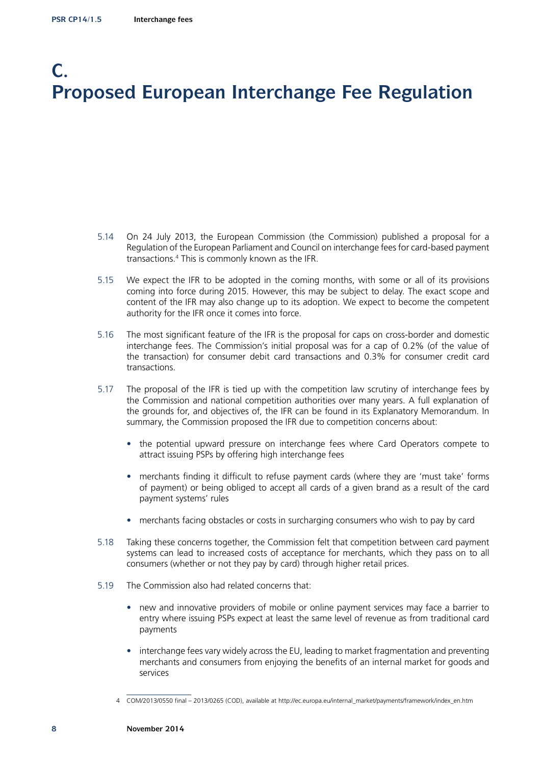## **C. Proposed European Interchange Fee Regulation**

- 5.14 On 24 July 2013, the European Commission (the Commission) published a proposal for a Regulation of the European Parliament and Council on interchange fees for card-based payment transactions.4 This is commonly known as the IFR.
- 5.15 We expect the IFR to be adopted in the coming months, with some or all of its provisions coming into force during 2015. However, this may be subject to delay. The exact scope and content of the IFR may also change up to its adoption. We expect to become the competent authority for the IFR once it comes into force.
- 5.16 The most significant feature of the IFR is the proposal for caps on cross-border and domestic interchange fees. The Commission's initial proposal was for a cap of 0.2% (of the value of the transaction) for consumer debit card transactions and 0.3% for consumer credit card transactions.
- 5.17 The proposal of the IFR is tied up with the competition law scrutiny of interchange fees by the Commission and national competition authorities over many years. A full explanation of the grounds for, and objectives of, the IFR can be found in its Explanatory Memorandum. In summary, the Commission proposed the IFR due to competition concerns about:
	- the potential upward pressure on interchange fees where Card Operators compete to attract issuing PSPs by offering high interchange fees
	- merchants finding it difficult to refuse payment cards (where they are 'must take' forms of payment) or being obliged to accept all cards of a given brand as a result of the card payment systems' rules
	- merchants facing obstacles or costs in surcharging consumers who wish to pay by card
- 5.18 Taking these concerns together, the Commission felt that competition between card payment systems can lead to increased costs of acceptance for merchants, which they pass on to all consumers (whether or not they pay by card) through higher retail prices.
- 5.19 The Commission also had related concerns that:
	- new and innovative providers of mobile or online payment services may face a barrier to entry where issuing PSPs expect at least the same level of revenue as from traditional card payments
	- interchange fees vary widely across the EU, leading to market fragmentation and preventing merchants and consumers from enjoying the benefits of an internal market for goods and services

<sup>4</sup> COM/2013/0550 final – 2013/0265 (COD), available at http://ec.europa.eu/internal\_market/payments/framework/index\_en.htm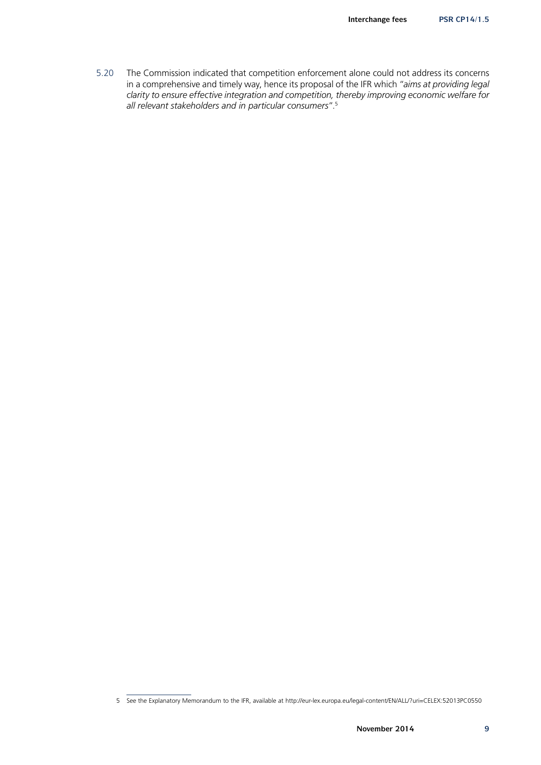5.20 The Commission indicated that competition enforcement alone could not address its concerns in a comprehensive and timely way, hence its proposal of the IFR which "*aims at providing legal clarity to ensure effective integration and competition, thereby improving economic welfare for all relevant stakeholders and in particular consumers*".5

<sup>5</sup> See the Explanatory Memorandum to the IFR, available at http://eur-lex.europa.eu/legal-content/EN/ALL/?uri=CELEX:52013PC0550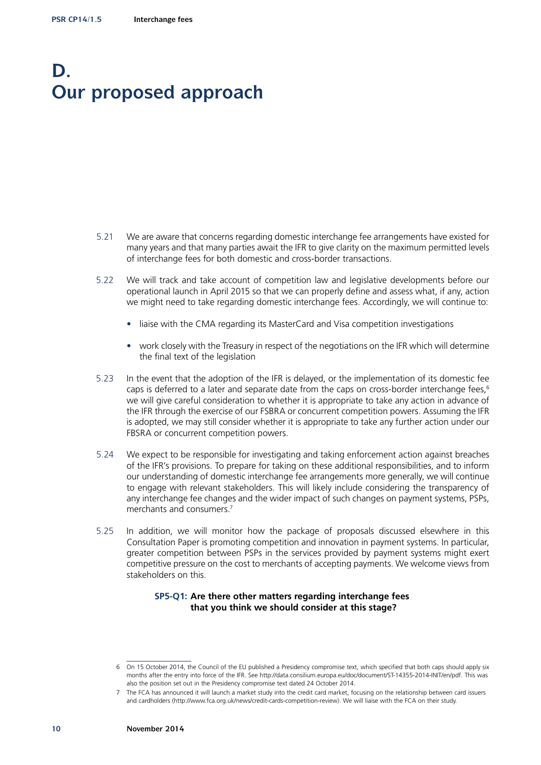### **D. Our proposed approach**

- 5.21 We are aware that concerns regarding domestic interchange fee arrangements have existed for many years and that many parties await the IFR to give clarity on the maximum permitted levels of interchange fees for both domestic and cross-border transactions.
- 5.22 We will track and take account of competition law and legislative developments before our operational launch in April 2015 so that we can properly define and assess what, if any, action we might need to take regarding domestic interchange fees. Accordingly, we will continue to:
	- liaise with the CMA regarding its MasterCard and Visa competition investigations
	- work closely with the Treasury in respect of the negotiations on the IFR which will determine the final text of the legislation
- 5.23 In the event that the adoption of the IFR is delayed, or the implementation of its domestic fee caps is deferred to a later and separate date from the caps on cross-border interchange fees, $6$ we will give careful consideration to whether it is appropriate to take any action in advance of the IFR through the exercise of our FSBRA or concurrent competition powers. Assuming the IFR is adopted, we may still consider whether it is appropriate to take any further action under our FBSRA or concurrent competition powers.
- 5.24 We expect to be responsible for investigating and taking enforcement action against breaches of the IFR's provisions. To prepare for taking on these additional responsibilities, and to inform our understanding of domestic interchange fee arrangements more generally, we will continue to engage with relevant stakeholders. This will likely include considering the transparency of any interchange fee changes and the wider impact of such changes on payment systems, PSPs, merchants and consumers.<sup>7</sup>
- 5.25 In addition, we will monitor how the package of proposals discussed elsewhere in this Consultation Paper is promoting competition and innovation in payment systems. In particular, greater competition between PSPs in the services provided by payment systems might exert competitive pressure on the cost to merchants of accepting payments. We welcome views from stakeholders on this.

#### **SP5-Q1: Are there other matters regarding interchange fees that you think we should consider at this stage?**

<sup>6</sup> On 15 October 2014, the Council of the EU published a Presidency compromise text, which specified that both caps should apply six months after the entry into force of the IFR. See http://data.consilium.europa.eu/doc/document/ST-14355-2014-INIT/en/pdf. This was also the position set out in the Presidency compromise text dated 24 October 2014.

<sup>7</sup> The FCA has announced it will launch a market study into the credit card market, focusing on the relationship between card issuers and cardholders (http://www.fca.org.uk/news/credit-cards-competition-review). We will liaise with the FCA on their study.